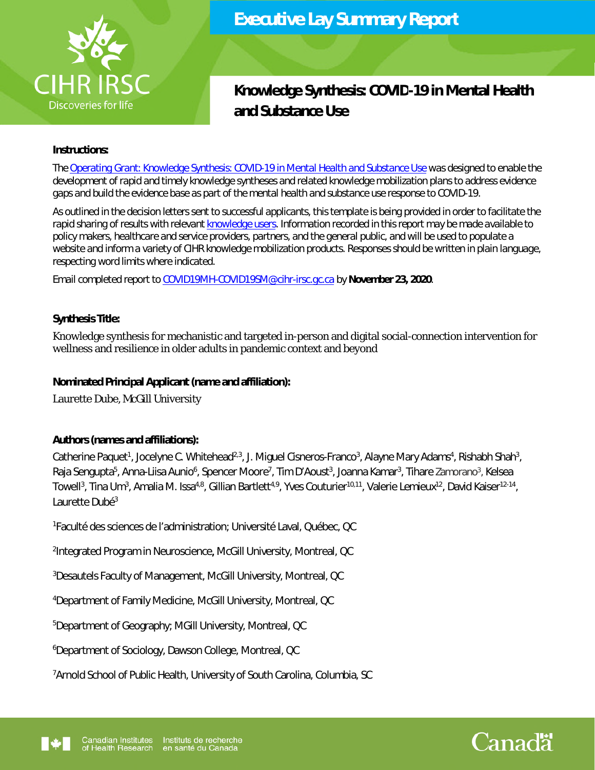

# **Knowledge Synthesis: COVID-19 in Mental Health and Substance Use**

## **Instructions:**

*The [Operating Grant: Knowledge Synthesis: COVID-19 in Mental Health and Substance Use](https://www.researchnet-recherchenet.ca/rnr16/vwOpprtntyDtls.do?prog=3330&view=search&terms=Knowledge+Synthesis%3A+COVID-19+in+Mental+Health+and+Substance+Use&incArc=true&type=EXACT&resultCount=25&next=1) was designed to enable the development of rapid and timely knowledge syntheses and related knowledge mobilization plans to address evidence gaps and build the evidence base as part of the mental health and substance use response to COVID-19.* 

*As outlined in the decision letters sent to successful applicants, this template is being provided in order to facilitate the rapid sharing of results with relevant [knowledge users.](https://cihr-irsc.gc.ca/e/34190.html#k4) Information recorded in this report may be made available to policy makers, healthcare and service providers, partners, and the general public, and will be used to populate a website and inform a variety of CIHR knowledge mobilization products. Responses should be written in plain language, respecting word limits where indicated.* 

*Email completed report to [COVID19MH-COVID19SM@cihr-irsc.gc.ca](http://infonet.internal.cihr.ca/OTCSdav/nodes/25167131/mailto%3ACOVID19MH-COVID19SM%40cihr-irsc.gc.ca) by November 23, 2020.* 

# **Synthesis Title:**

Knowledge synthesis for mechanistic and targeted in-person and digital social-connection intervention for wellness and resilience in older adults in pandemic context and beyond

## **Nominated Principal Applicant (name and affiliation):**

Laurette Dube, McGill University

# **Authors (names and affiliations):**

Catherine Paquet<sup>1</sup>, Jocelyne C. Whitehead<sup>2,3</sup>, J. Miguel Cisneros-Franco<sup>3</sup>, Alayne Mary Adams<sup>4</sup>, Rishabh Shah<sup>3</sup>, Raja Sengupta<sup>5</sup>, Anna-Liisa Aunio<sup>6</sup>, Spencer Moore<sup>7</sup>, Tim D'Aoust<sup>3</sup>, Joanna Kamar<sup>3</sup>, Tihare Zamorano<sup>3</sup>, Kelsea Towell<sup>3</sup>, Tina Um<sup>3</sup>, Amalia M. Issa<sup>4,8</sup>, Gillian Bartlett<sup>4,9</sup>, Yves Couturier<sup>10,11</sup>, Valerie Lemieux<sup>12</sup>, David Kaiser<sup>12-14</sup>, Laurette Dubé<sup>3</sup>

1 Faculté des sciences de l'administration; Université Laval, Québec, QC

<sup>2</sup>Integrated Program in Neuroscience, McGill University, Montreal, QC

<sup>3</sup>Desautels Faculty of Management, McGill University, Montreal, QC

<sup>4</sup>Department of Family Medicine, McGill University, Montreal, QC

<sup>5</sup>Department of Geography; MGill University, Montreal, QC

<sup>6</sup>Department of Sociology, Dawson College, Montreal, QC

7Arnold School of Public Health, University of South Carolina, Columbia, SC



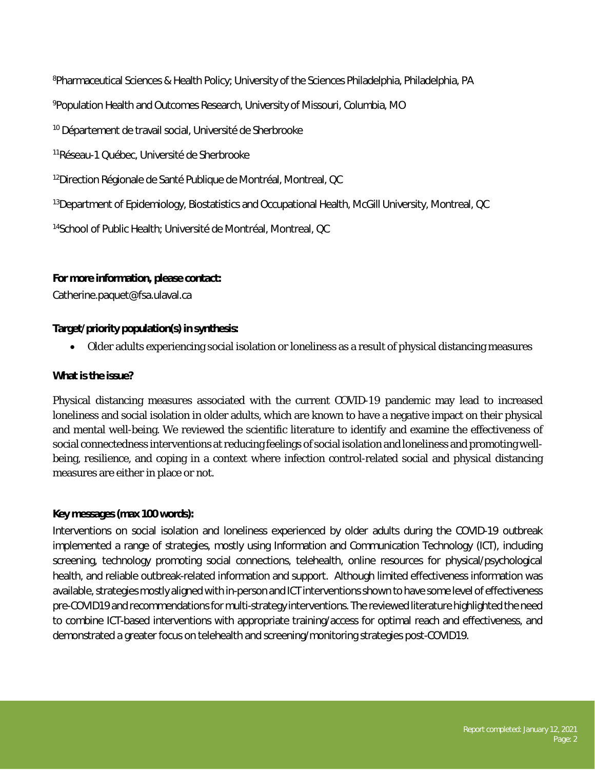<sup>8</sup>Pharmaceutical Sciences & Health Policy; University of the Sciences Philadelphia, Philadelphia, PA

<sup>9</sup>Population Health and Outcomes Research, University of Missouri, Columbia, MO

<sup>10</sup> Département de travail social, Université de Sherbrooke

<sup>11</sup>Réseau-1 Québec, Université de Sherbrooke

<sup>12</sup>Direction Régionale de Santé Publique de Montréal, Montreal, QC

<sup>13</sup>Department of Epidemiology, Biostatistics and Occupational Health, McGill University, Montreal, QC

<sup>14</sup>School of Public Health; Université de Montréal, Montreal, QC

#### **For more information, please contact:**

Catherine.paquet@fsa.ulaval.ca

## **Target/priority population(s) in synthesis:**

Older adults experiencing social isolation or loneliness as a result of physical distancing measures

## **What is the issue?**

Physical distancing measures associated with the current COVID-19 pandemic may lead to increased loneliness and social isolation in older adults, which are known to have a negative impact on their physical and mental well-being. We reviewed the scientific literature to identify and examine the effectiveness of social connectedness interventions at reducing feelings of social isolation and loneliness and promoting wellbeing, resilience, and coping in a context where infection control-related social and physical distancing measures are either in place or not.

#### **Key messages (max 100 words):**

Interventions on social isolation and loneliness experienced by older adults during the COVID-19 outbreak implemented a range of strategies, mostly using Information and Communication Technology (ICT), including screening, technology promoting social connections, telehealth, online resources for physical/psychological health, and reliable outbreak-related information and support. Although limited effectiveness information was available, strategies mostly aligned with in-person and ICT interventions shown to have some level of effectiveness pre-COVID19 and recommendations for multi-strategy interventions. The reviewed literature highlighted the need to combine ICT-based interventions with appropriate training/access for optimal reach and effectiveness, and demonstrated a greater focus on telehealth and screening/monitoring strategies post-COVID19.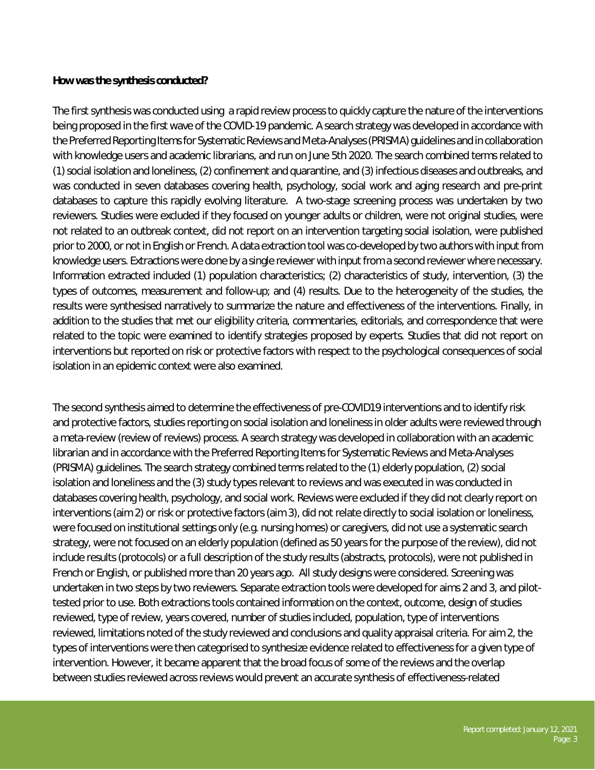## **How was the synthesis conducted?**

The first synthesis was conducted using a rapid review process to quickly capture the nature of the interventions being proposed in the first wave of the COVID-19 pandemic. A search strategy was developed in accordance with the Preferred Reporting Items for Systematic Reviews and Meta-Analyses (PRISMA) guidelines and in collaboration with knowledge users and academic librarians, and run on June 5th 2020. The search combined terms related to (1) social isolation and loneliness, (2) confinement and quarantine, and (3) infectious diseases and outbreaks, and was conducted in seven databases covering health, psychology, social work and aging research and pre-print databases to capture this rapidly evolving literature. A two-stage screening process was undertaken by two reviewers. Studies were excluded if they focused on younger adults or children, were not original studies, were not related to an outbreak context, did not report on an intervention targeting social isolation, were published prior to 2000, or not in English or French. A data extraction tool was co-developed by two authors with input from knowledge users. Extractions were done by a single reviewer with input from a second reviewer where necessary. Information extracted included (1) population characteristics; (2) characteristics of study, intervention, (3) the types of outcomes, measurement and follow-up; and (4) results. Due to the heterogeneity of the studies, the results were synthesised narratively to summarize the nature and effectiveness of the interventions. Finally, in addition to the studies that met our eligibility criteria, commentaries, editorials, and correspondence that were related to the topic were examined to identify strategies proposed by experts. Studies that did not report on interventions but reported on risk or protective factors with respect to the psychological consequences of social isolation in an epidemic context were also examined.

The second synthesis aimed to determine the effectiveness of pre-COVID19 interventions and to identify risk and protective factors, studies reporting on social isolation and loneliness in older adults were reviewed through a meta-review (review of reviews) process. A search strategy was developed in collaboration with an academic librarian and in accordance with the Preferred Reporting Items for Systematic Reviews and Meta-Analyses (PRISMA) guidelines. The search strategy combined terms related to the (1) elderly population, (2) social isolation and loneliness and the (3) study types relevant to reviews and was executed in was conducted in databases covering health, psychology, and social work. Reviews were excluded if they did not clearly report on interventions (aim 2) or risk or protective factors (aim 3), did not relate directly to social isolation or loneliness, were focused on institutional settings only (e.g. nursing homes) or caregivers, did not use a systematic search strategy, were not focused on an elderly population (defined as 50 years for the purpose of the review), did not include results (protocols) or a full description of the study results (abstracts, protocols), were not published in French or English, or published more than 20 years ago. All study designs were considered. Screening was undertaken in two steps by two reviewers. Separate extraction tools were developed for aims 2 and 3, and pilottested prior to use. Both extractions tools contained information on the context, outcome, design of studies reviewed, type of review, years covered, number of studies included, population, type of interventions reviewed, limitations noted of the study reviewed and conclusions and quality appraisal criteria. For aim 2, the types of interventions were then categorised to synthesize evidence related to effectiveness for a given type of intervention. However, it became apparent that the broad focus of some of the reviews and the overlap between studies reviewed across reviews would prevent an accurate synthesis of effectiveness-related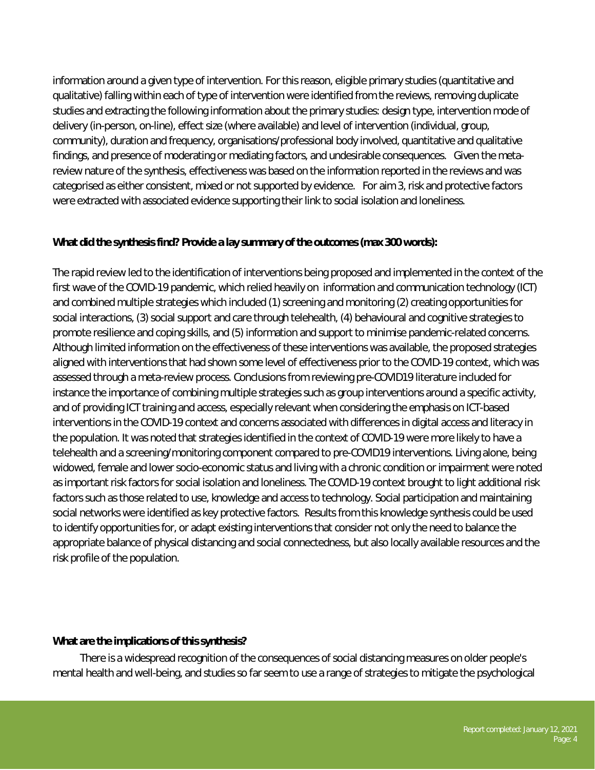information around a given type of intervention. For this reason, eligible primary studies (quantitative and qualitative) falling within each of type of intervention were identified from the reviews, removing duplicate studies and extracting the following information about the primary studies: design type, intervention mode of delivery (in-person, on-line), effect size (where available) and level of intervention (individual, group, community), duration and frequency, organisations/professional body involved, quantitative and qualitative findings, and presence of moderating or mediating factors, and undesirable consequences. Given the metareview nature of the synthesis, effectiveness was based on the information reported in the reviews and was categorised as either consistent, mixed or not supported by evidence. For aim 3, risk and protective factors were extracted with associated evidence supporting their link to social isolation and loneliness.

# **What did the synthesis find? Provide a lay summary of the outcomes (max 300 words):**

The rapid review led to the identification of interventions being proposed and implemented in the context of the first wave of the COVID-19 pandemic, which relied heavily on information and communication technology (ICT) and combined multiple strategies which included (1) screening and monitoring (2) creating opportunities for social interactions, (3) social support and care through telehealth, (4) behavioural and cognitive strategies to promote resilience and coping skills, and (5) information and support to minimise pandemic-related concerns. Although limited information on the effectiveness of these interventions was available, the proposed strategies aligned with interventions that had shown some level of effectiveness prior to the COVID-19 context, which was assessed through a meta-review process. Conclusions from reviewing pre-COVID19 literature included for instance the importance of combining multiple strategies such as group interventions around a specific activity, and of providing ICT training and access, especially relevant when considering the emphasis on ICT-based interventions in the COVID-19 context and concerns associated with differences in digital access and literacy in the population. It was noted that strategies identified in the context of COVID-19 were more likely to have a telehealth and a screening/monitoring component compared to pre-COVID19 interventions. Living alone, being widowed, female and lower socio-economic status and living with a chronic condition or impairment were noted as important risk factors for social isolation and loneliness. The COVID-19 context brought to light additional risk factors such as those related to use, knowledge and access to technology. Social participation and maintaining social networks were identified as key protective factors. Results from this knowledge synthesis could be used to identify opportunities for, or adapt existing interventions that consider not only the need to balance the appropriate balance of physical distancing and social connectedness, but also locally available resources and the risk profile of the population.

# **What are the implications of this synthesis?**

There is a widespread recognition of the consequences of social distancing measures on older people's mental health and well-being, and studies so far seem to use a range of strategies to mitigate the psychological